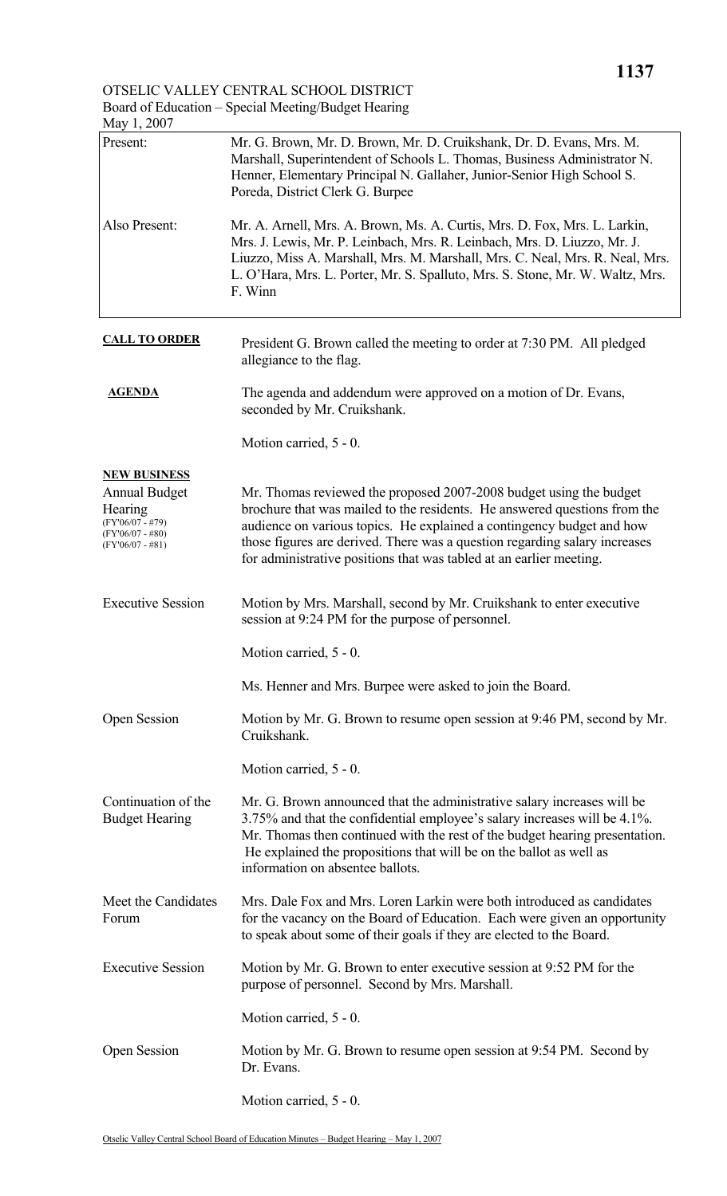OTSELIC VALLEY CENTRAL SCHOOL DISTRICT Board of Education – Special Meeting/Budget Hearing

| May 1, 2007                                                                                       |                                                                                                                                                                                                                                                                                                                                                                               |
|---------------------------------------------------------------------------------------------------|-------------------------------------------------------------------------------------------------------------------------------------------------------------------------------------------------------------------------------------------------------------------------------------------------------------------------------------------------------------------------------|
| Present:                                                                                          | Mr. G. Brown, Mr. D. Brown, Mr. D. Cruikshank, Dr. D. Evans, Mrs. M.<br>Marshall, Superintendent of Schools L. Thomas, Business Administrator N.<br>Henner, Elementary Principal N. Gallaher, Junior-Senior High School S.<br>Poreda, District Clerk G. Burpee                                                                                                                |
| Also Present:                                                                                     | Mr. A. Arnell, Mrs. A. Brown, Ms. A. Curtis, Mrs. D. Fox, Mrs. L. Larkin,<br>Mrs. J. Lewis, Mr. P. Leinbach, Mrs. R. Leinbach, Mrs. D. Liuzzo, Mr. J.<br>Liuzzo, Miss A. Marshall, Mrs. M. Marshall, Mrs. C. Neal, Mrs. R. Neal, Mrs.<br>L. O'Hara, Mrs. L. Porter, Mr. S. Spalluto, Mrs. S. Stone, Mr. W. Waltz, Mrs.<br>F. Winn                                             |
| <b>CALL TO ORDER</b>                                                                              | President G. Brown called the meeting to order at 7:30 PM. All pledged<br>allegiance to the flag.                                                                                                                                                                                                                                                                             |
| <b>AGENDA</b>                                                                                     | The agenda and addendum were approved on a motion of Dr. Evans,<br>seconded by Mr. Cruikshank.                                                                                                                                                                                                                                                                                |
|                                                                                                   | Motion carried, 5 - 0.                                                                                                                                                                                                                                                                                                                                                        |
| <b>NEW BUSINESS</b>                                                                               |                                                                                                                                                                                                                                                                                                                                                                               |
| <b>Annual Budget</b><br>Hearing<br>$(FY'06/07 - #79)$<br>$(FY'06/07 - #80)$<br>$(FY'06/07 - #81)$ | Mr. Thomas reviewed the proposed 2007-2008 budget using the budget<br>brochure that was mailed to the residents. He answered questions from the<br>audience on various topics. He explained a contingency budget and how<br>those figures are derived. There was a question regarding salary increases<br>for administrative positions that was tabled at an earlier meeting. |
| <b>Executive Session</b>                                                                          | Motion by Mrs. Marshall, second by Mr. Cruikshank to enter executive<br>session at 9:24 PM for the purpose of personnel.                                                                                                                                                                                                                                                      |
|                                                                                                   | Motion carried, 5 - 0.                                                                                                                                                                                                                                                                                                                                                        |
|                                                                                                   | Ms. Henner and Mrs. Burpee were asked to join the Board.                                                                                                                                                                                                                                                                                                                      |
| <b>Open Session</b>                                                                               | Motion by Mr. G. Brown to resume open session at 9:46 PM, second by Mr.<br>Cruikshank.                                                                                                                                                                                                                                                                                        |
|                                                                                                   | Motion carried, 5 - 0.                                                                                                                                                                                                                                                                                                                                                        |
| Continuation of the<br><b>Budget Hearing</b>                                                      | Mr. G. Brown announced that the administrative salary increases will be<br>3.75% and that the confidential employee's salary increases will be 4.1%.<br>Mr. Thomas then continued with the rest of the budget hearing presentation.<br>He explained the propositions that will be on the ballot as well as<br>information on absentee ballots.                                |
| Meet the Candidates<br>Forum                                                                      | Mrs. Dale Fox and Mrs. Loren Larkin were both introduced as candidates<br>for the vacancy on the Board of Education. Each were given an opportunity<br>to speak about some of their goals if they are elected to the Board.                                                                                                                                                   |
| <b>Executive Session</b>                                                                          | Motion by Mr. G. Brown to enter executive session at 9:52 PM for the<br>purpose of personnel. Second by Mrs. Marshall.                                                                                                                                                                                                                                                        |
|                                                                                                   | Motion carried, 5 - 0.                                                                                                                                                                                                                                                                                                                                                        |
| <b>Open Session</b>                                                                               | Motion by Mr. G. Brown to resume open session at 9:54 PM. Second by<br>Dr. Evans.                                                                                                                                                                                                                                                                                             |
|                                                                                                   | Motion carried, 5 - 0.                                                                                                                                                                                                                                                                                                                                                        |